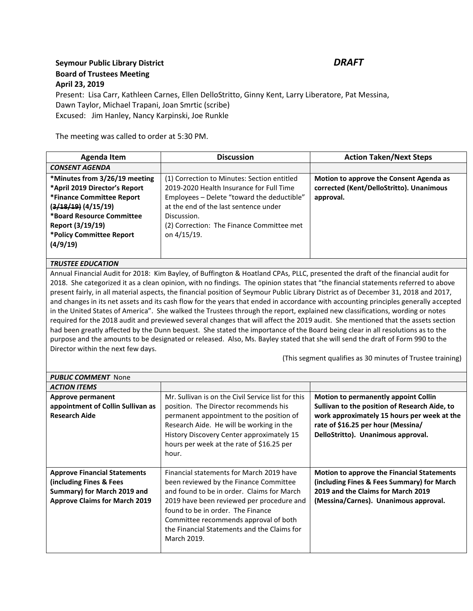## **Seymour Public Library District** *DRAFT* **Board of Trustees Meeting April 23, 2019**

Present: Lisa Carr, Kathleen Carnes, Ellen DelloStritto, Ginny Kent, Larry Liberatore, Pat Messina, Dawn Taylor, Michael Trapani, Joan Smrtic (scribe) Excused: Jim Hanley, Nancy Karpinski, Joe Runkle

The meeting was called to order at 5:30 PM.

| Agenda Item                                                                                                                                                                                                     | <b>Discussion</b>                                                                                                                                                                                                                                         | <b>Action Taken/Next Steps</b>                                                                   |  |
|-----------------------------------------------------------------------------------------------------------------------------------------------------------------------------------------------------------------|-----------------------------------------------------------------------------------------------------------------------------------------------------------------------------------------------------------------------------------------------------------|--------------------------------------------------------------------------------------------------|--|
| <b>CONSENT AGENDA</b>                                                                                                                                                                                           |                                                                                                                                                                                                                                                           |                                                                                                  |  |
| *Minutes from 3/26/19 meeting<br>*April 2019 Director's Report<br>*Finance Committee Report<br>$(3/18/19)$ $(4/15/19)$<br>*Board Resource Committee<br>Report (3/19/19)<br>*Policy Committee Report<br>(4/9/19) | (1) Correction to Minutes: Section entitled<br>2019-2020 Health Insurance for Full Time<br>Employees - Delete "toward the deductible"<br>at the end of the last sentence under<br>Discussion.<br>(2) Correction: The Finance Committee met<br>on 4/15/19. | Motion to approve the Consent Agenda as<br>corrected (Kent/DelloStritto). Unanimous<br>approval. |  |
| TOUCTEE EDUCATION                                                                                                                                                                                               |                                                                                                                                                                                                                                                           |                                                                                                  |  |

## *TRUSTEE EDUCATION*

Annual Financial Audit for 2018: Kim Bayley, of Buffington & Hoatland CPAs, PLLC, presented the draft of the financial audit for 2018. She categorized it as a clean opinion, with no findings. The opinion states that "the financial statements referred to above present fairly, in all material aspects, the financial position of Seymour Public Library District as of December 31, 2018 and 2017, and changes in its net assets and its cash flow for the years that ended in accordance with accounting principles generally accepted in the United States of America". She walked the Trustees through the report, explained new classifications, wording or notes required for the 2018 audit and previewed several changes that will affect the 2019 audit. She mentioned that the assets section had been greatly affected by the Dunn bequest. She stated the importance of the Board being clear in all resolutions as to the purpose and the amounts to be designated or released. Also, Ms. Bayley stated that she will send the draft of Form 990 to the Director within the next few days.

(This segment qualifies as 30 minutes of Trustee training)

| <b>PUBLIC COMMENT</b> None                                                                                                             |                                                                                                                                                                                                                                                                                                                           |                                                                                                                                                                                                                         |  |  |
|----------------------------------------------------------------------------------------------------------------------------------------|---------------------------------------------------------------------------------------------------------------------------------------------------------------------------------------------------------------------------------------------------------------------------------------------------------------------------|-------------------------------------------------------------------------------------------------------------------------------------------------------------------------------------------------------------------------|--|--|
| <b>ACTION ITEMS</b>                                                                                                                    |                                                                                                                                                                                                                                                                                                                           |                                                                                                                                                                                                                         |  |  |
| Approve permanent<br>appointment of Collin Sullivan as<br><b>Research Aide</b>                                                         | Mr. Sullivan is on the Civil Service list for this<br>position. The Director recommends his<br>permanent appointment to the position of<br>Research Aide. He will be working in the<br>History Discovery Center approximately 15<br>hours per week at the rate of \$16.25 per<br>hour.                                    | <b>Motion to permanently appoint Collin</b><br>Sullivan to the position of Research Aide, to<br>work approximately 15 hours per week at the<br>rate of \$16.25 per hour (Messina/<br>DelloStritto). Unanimous approval. |  |  |
| <b>Approve Financial Statements</b><br>(including Fines & Fees)<br>Summary) for March 2019 and<br><b>Approve Claims for March 2019</b> | Financial statements for March 2019 have<br>been reviewed by the Finance Committee<br>and found to be in order. Claims for March<br>2019 have been reviewed per procedure and<br>found to be in order. The Finance<br>Committee recommends approval of both<br>the Financial Statements and the Claims for<br>March 2019. | Motion to approve the Financial Statements<br>(including Fines & Fees Summary) for March<br>2019 and the Claims for March 2019<br>(Messina/Carnes). Unanimous approval.                                                 |  |  |